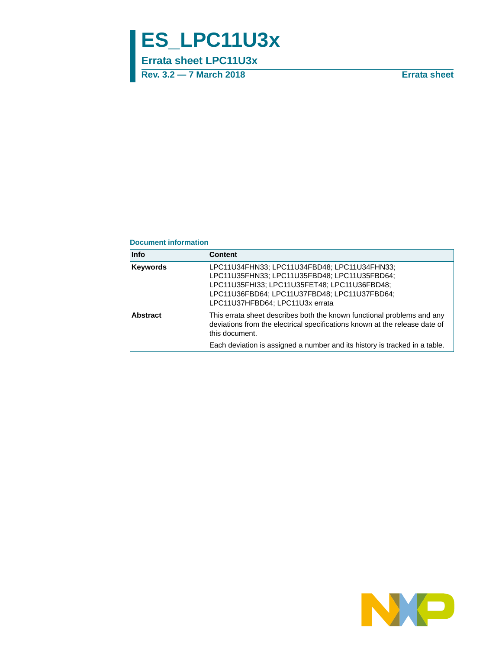# **ES\_LPC11U3x**

**Errata sheet LPC11U3x**

**Rev. 3.2 — 7 March 2018 Errata sheet**

#### **Document information**

| <b>Info</b>     | <b>Content</b>                                                                                                                                                                                                                                       |
|-----------------|------------------------------------------------------------------------------------------------------------------------------------------------------------------------------------------------------------------------------------------------------|
| <b>Keywords</b> | LPC11U34FHN33; LPC11U34FBD48; LPC11U34FHN33;<br>LPC11U35FHN33; LPC11U35FBD48; LPC11U35FBD64;<br>LPC11U35FHI33; LPC11U35FET48; LPC11U36FBD48;<br>LPC11U36FBD64; LPC11U37FBD48; LPC11U37FBD64;<br>LPC11U37HFBD64; LPC11U3x errata                      |
| <b>Abstract</b> | This errata sheet describes both the known functional problems and any<br>deviations from the electrical specifications known at the release date of<br>this document.<br>Each deviation is assigned a number and its history is tracked in a table. |

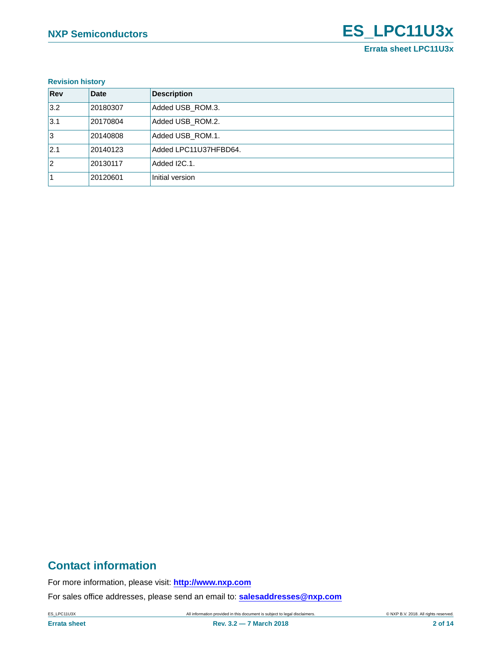#### **Revision history**

| Rev | <b>Date</b> | <b>Description</b>    |
|-----|-------------|-----------------------|
| 3.2 | 20180307    | Added USB_ROM.3.      |
| 3.1 | 20170804    | Added USB ROM.2.      |
| 1з  | 20140808    | Added USB ROM.1.      |
| 2.1 | 20140123    | Added LPC11U37HFBD64. |
| 12  | 20130117    | Added I2C.1.          |
|     | 20120601    | Initial version       |

# **Contact information**

For more information, please visit: **http://www.nxp.com**

For sales office addresses, please send an email to: **salesaddresses@nxp.com**

ES\_LPC11U3X **All information provided in this document is subject to legal disclaimers.** © NXP B.V. 2018. All rights reserved.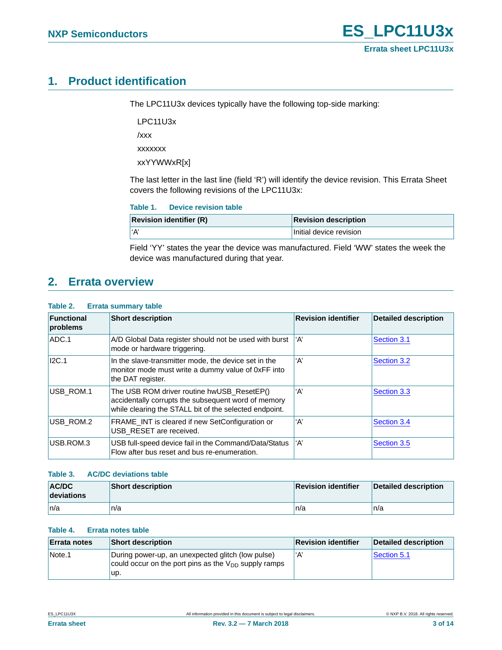# <span id="page-2-0"></span>**1. Product identification**

The LPC11U3x devices typically have the following top-side marking:

LPC11U3x

/xxx

xxxxxxx

xxYYWWxR[x]

The last letter in the last line (field 'R') will identify the device revision. This Errata Sheet covers the following revisions of the LPC11U3x:

| <b>Device revision table</b><br>Table 1. |
|------------------------------------------|
|------------------------------------------|

| <b>Revision identifier (R)</b> | <b>Revision description</b> |
|--------------------------------|-----------------------------|
| l'A'                           | Initial device revision     |

Field 'YY' states the year the device was manufactured. Field 'WW' states the week the device was manufactured during that year.

# <span id="page-2-1"></span>**2. Errata overview**

#### **Table 2. Errata summary table**

| <b>Functional</b><br>problems | <b>Short description</b>                                                                                                                                    | <b>Revision identifier</b> | <b>Detailed description</b> |
|-------------------------------|-------------------------------------------------------------------------------------------------------------------------------------------------------------|----------------------------|-----------------------------|
| ADC.1                         | A/D Global Data register should not be used with burst<br>mode or hardware triggering.                                                                      | ʻA'                        | Section 3.1                 |
| I2C.1                         | In the slave-transmitter mode, the device set in the<br>monitor mode must write a dummy value of 0xFF into<br>the DAT register.                             | ʻA'                        | Section 3.2                 |
| USB ROM.1                     | The USB ROM driver routine hwUSB ResetEP()<br>accidentally corrupts the subsequent word of memory<br>while clearing the STALL bit of the selected endpoint. | ʻA'                        | Section 3.3                 |
| USB ROM.2                     | FRAME INT is cleared if new SetConfiguration or<br>USB RESET are received.                                                                                  | ʻA'                        | Section 3.4                 |
| USB.ROM.3                     | USB full-speed device fail in the Command/Data/Status<br>Flow after bus reset and bus re-enumeration.                                                       | ʻA'                        | Section 3.5                 |

#### **Table 3. AC/DC deviations table**

| <b>AC/DC</b><br>deviations | <b>Short description</b> | <b>Revision identifier</b> | <b>Detailed description</b> |
|----------------------------|--------------------------|----------------------------|-----------------------------|
| ∣n/a                       | n/a                      | n/a                        | n/a                         |

#### **Table 4. Errata notes table**

| <b>Errata notes</b> | <b>Short description</b>                                                                                              | <b>Revision identifier</b> | <b>Detailed description</b> |
|---------------------|-----------------------------------------------------------------------------------------------------------------------|----------------------------|-----------------------------|
| Note.1              | During power-up, an unexpected glitch (low pulse)<br>could occur on the port pins as the $V_{DD}$ supply ramps<br>up. | ʻA                         | Section 5.1                 |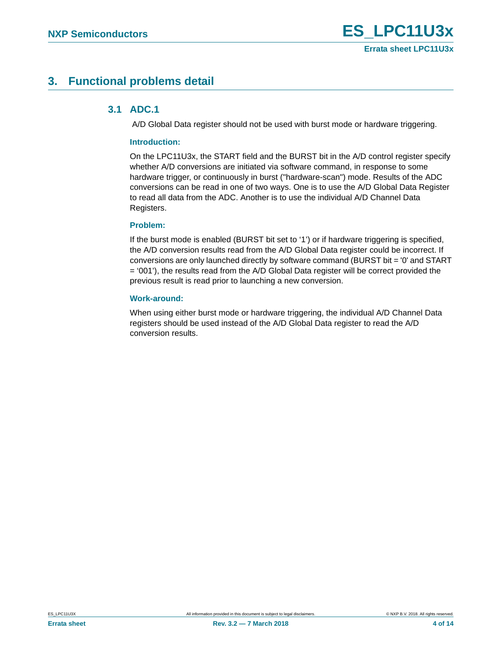# <span id="page-3-1"></span><span id="page-3-0"></span>**3. Functional problems detail**

### **3.1 ADC.1**

A/D Global Data register should not be used with burst mode or hardware triggering.

#### **Introduction:**

On the LPC11U3x, the START field and the BURST bit in the A/D control register specify whether A/D conversions are initiated via software command, in response to some hardware trigger, or continuously in burst ("hardware-scan") mode. Results of the ADC conversions can be read in one of two ways. One is to use the A/D Global Data Register to read all data from the ADC. Another is to use the individual A/D Channel Data Registers.

#### **Problem:**

If the burst mode is enabled (BURST bit set to '1') or if hardware triggering is specified, the A/D conversion results read from the A/D Global Data register could be incorrect. If conversions are only launched directly by software command (BURST bit = '0' and START = '001'), the results read from the A/D Global Data register will be correct provided the previous result is read prior to launching a new conversion.

#### **Work-around:**

When using either burst mode or hardware triggering, the individual A/D Channel Data registers should be used instead of the A/D Global Data register to read the A/D conversion results.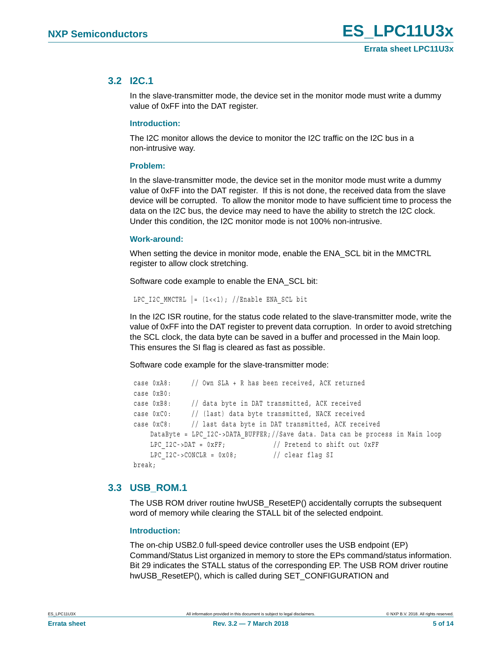### <span id="page-4-0"></span>**3.2 I2C.1**

In the slave-transmitter mode, the device set in the monitor mode must write a dummy value of 0xFF into the DAT register.

#### **Introduction:**

The I2C monitor allows the device to monitor the I2C traffic on the I2C bus in a non-intrusive way.

#### **Problem:**

In the slave-transmitter mode, the device set in the monitor mode must write a dummy value of 0xFF into the DAT register. If this is not done, the received data from the slave device will be corrupted. To allow the monitor mode to have sufficient time to process the data on the I2C bus, the device may need to have the ability to stretch the I2C clock. Under this condition, the I2C monitor mode is not 100% non-intrusive.

#### **Work-around:**

When setting the device in monitor mode, enable the ENA\_SCL bit in the MMCTRL register to allow clock stretching.

Software code example to enable the ENA\_SCL bit:

LPC I2C MMCTRL  $| = (1 \lt \lt 1);$  //Enable ENA SCL bit

In the I2C ISR routine, for the status code related to the slave-transmitter mode, write the value of 0xFF into the DAT register to prevent data corruption. In order to avoid stretching the SCL clock, the data byte can be saved in a buffer and processed in the Main loop. This ensures the SI flag is cleared as fast as possible.

Software code example for the slave-transmitter mode:

```
 case 0xA8: // Own SLA + R has been received, ACK returned 
 case 0xB0:
 case 0xB8: // data byte in DAT transmitted, ACK received
 case 0xC0: // (last) data byte transmitted, NACK received
 case 0xC8: // last data byte in DAT transmitted, ACK received
    DataByte = LPC_I2C->DATA_BUFFER;//Save data. Data can be process in Main loop
    LPC I2C->DAT = 0xFF; // Pretend to shift out 0xFF
    LPC I2C->CONCLR = 0x08; // clear flag SI
 break;
```
### <span id="page-4-1"></span>**3.3 USB\_ROM.1**

The USB ROM driver routine hwUSB\_ResetEP() accidentally corrupts the subsequent word of memory while clearing the STALL bit of the selected endpoint.

#### **Introduction:**

The on-chip USB2.0 full-speed device controller uses the USB endpoint (EP) Command/Status List organized in memory to store the EPs command/status information. Bit 29 indicates the STALL status of the corresponding EP. The USB ROM driver routine hwUSB\_ResetEP(), which is called during SET\_CONFIGURATION and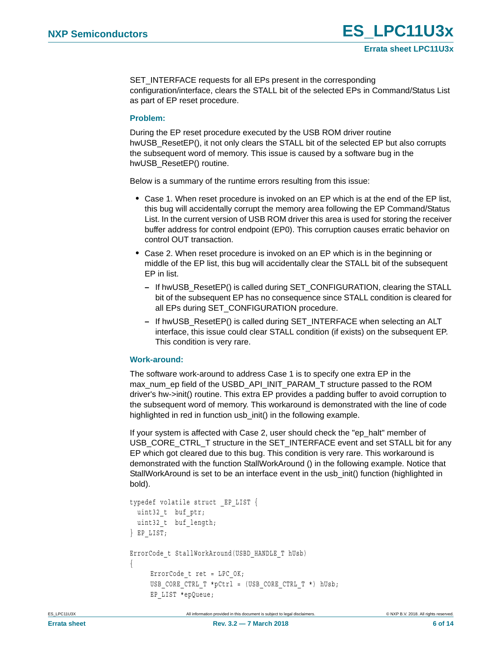SET\_INTERFACE requests for all EPs present in the corresponding configuration/interface, clears the STALL bit of the selected EPs in Command/Status List as part of EP reset procedure.

#### **Problem:**

During the EP reset procedure executed by the USB ROM driver routine hwUSB ResetEP(), it not only clears the STALL bit of the selected EP but also corrupts the subsequent word of memory. This issue is caused by a software bug in the hwUSB\_ResetEP() routine.

Below is a summary of the runtime errors resulting from this issue:

- **•** Case 1. When reset procedure is invoked on an EP which is at the end of the EP list, this bug will accidentally corrupt the memory area following the EP Command/Status List. In the current version of USB ROM driver this area is used for storing the receiver buffer address for control endpoint (EP0). This corruption causes erratic behavior on control OUT transaction.
- **•** Case 2. When reset procedure is invoked on an EP which is in the beginning or middle of the EP list, this bug will accidentally clear the STALL bit of the subsequent EP in list.
	- **–** If hwUSB\_ResetEP() is called during SET\_CONFIGURATION, clearing the STALL bit of the subsequent EP has no consequence since STALL condition is cleared for all EPs during SET\_CONFIGURATION procedure.
	- **–** If hwUSB\_ResetEP() is called during SET\_INTERFACE when selecting an ALT interface, this issue could clear STALL condition (if exists) on the subsequent EP. This condition is very rare.

#### **Work-around:**

The software work-around to address Case 1 is to specify one extra EP in the max\_num\_ep field of the USBD\_API\_INIT\_PARAM\_T structure passed to the ROM driver's hw->init() routine. This extra EP provides a padding buffer to avoid corruption to the subsequent word of memory. This workaround is demonstrated with the line of code highlighted in red in function usb\_init() in the following example.

If your system is affected with Case 2, user should check the "ep\_halt" member of USB\_CORE\_CTRL\_T structure in the SET\_INTERFACE event and set STALL bit for any EP which got cleared due to this bug. This condition is very rare. This workaround is demonstrated with the function StallWorkAround () in the following example. Notice that StallWorkAround is set to be an interface event in the usb\_init() function (highlighted in bold).

```
typedef volatile struct _EP_LIST {
 uint32 t buf ptr;
 uint32 t buf length;
} EP_LIST;
ErrorCode_t StallWorkAround(USBD_HANDLE_T hUsb)
{
     ErrorCode t ret = LPC OK;
     USB CORE CTRL T *pCtrl = (USB CORE CTRL T *) hUsb;
      EP_LIST *epQueue;
```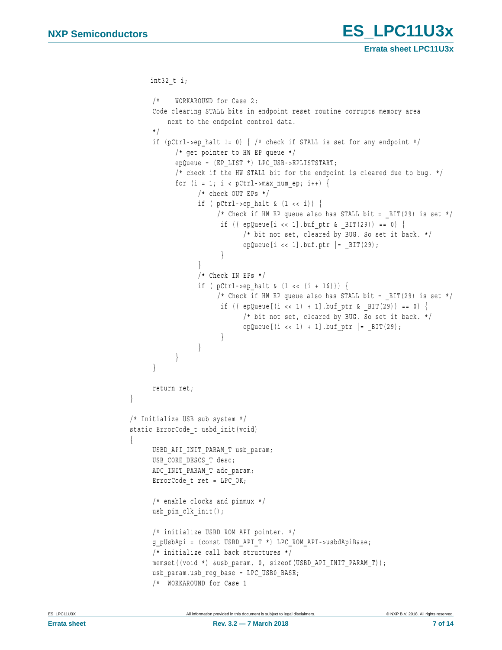**Errata sheet LPC11U3x**

```
 int32_t i;
      /* WORKAROUND for Case 2:
      Code clearing STALL bits in endpoint reset routine corrupts memory area
          next to the endpoint control data.
      */
     if (pCtrl->ep_halt != 0) { /* check if STALL is set for any endpoint */
            /* get pointer to HW EP queue */
            epQueue = (EP_LIST *) LPC_USB->EPLISTSTART;
           /* check if the HW STALL bit for the endpoint is cleared due to bug. */for (i = 1; i < pCtrl->max num ep; i++) {
                  /* check OUT EPs */
                 if ( pCtrl->ep halt & (1 \lt t)) {
                      /* Check if HW EP queue also has STALL bit = BIT(29) is set */
                       if (( epQueue[i \lt\lt 1] .buf\_ptr \& _BIT(29)) == 0) {
                             /* bit not set, cleared by BUG. So set it back. */
                            epQueue[i << 1].buf.ptr | = BIT(29);
 }
}
                  /* Check IN EPs */
                 if ( pCtrl->ep halt & (1 \lt k (i + 16))) {
                      /* Check if HW EP queue also has STALL bit = BIT(29) is set */
                       if ((epQueue[(i < 1) + 1].buffer & BIT(29)) == 0) /* bit not set, cleared by BUG. So set it back. */
                            epQueue[(i << 1) + 1].buf ptr | = BIT(29);
}
}
}
      }
      return ret;
}
/* Initialize USB sub system */
static ErrorCode t usbd init(void)
{
     USBD_API_INIT_PARAM_T_usb_param;
     USB_CORE_DESCS_T_desc;
     ADC_INIT_PARAM_T adc_param;
     ErrorCode t ret = LPC OK;
      /* enable clocks and pinmux */
     usb pin clk init();
      /* initialize USBD ROM API pointer. */
      g_pUsbApi = (const USBD_API_T *) LPC_ROM_API->usbdApiBase;
      /* initialize call back structures */
     memset((void *) &usb_param, 0, sizeof(USBD_API_INIT_PARAM_T));
      usb_param.usb_reg_base = LPC_USB0_BASE;
      /* WORKAROUND for Case 1
```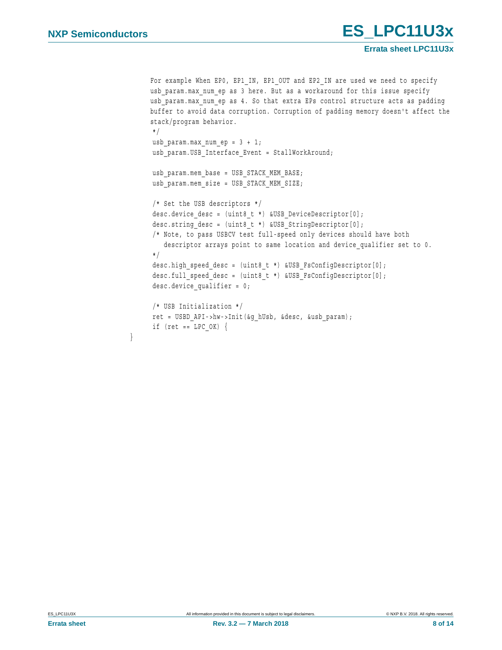\*/

\*/

}

```
For example When EP0, EP1_IN, EP1_OUT and EP2_IN are used we need to specify
usb param.max num ep as 3 here. But as a workaround for this issue specify
usb param.max num ep as 4. So that extra EPs control structure acts as padding
buffer to avoid data corruption. Corruption of padding memory doesn't affect the 
stack/program behavior.
usb param.max num ep = 3 + 1;
 usb_param.USB_Interface_Event = StallWorkAround;
usb param.mem base = USB STACK MEM BASE;
usb param.mem size = USB STACK MEM SIZE;
 /* Set the USB descriptors */
desc.device desc = (uint8 t *) &USB DeviceDescriptor[0];
 desc.string_desc = (uint8_t *) &USB_StringDescriptor[0];
 /* Note, to pass USBCV test full-speed only devices should have both
   descriptor arrays point to same location and device qualifier set to 0.
```
**Errata sheet LPC11U3x**

```
 desc.high_speed_desc = (uint8_t *) &USB_FsConfigDescriptor[0];
desc.full speed desc = (uint8 t *) &USB FsConfigDescriptor[0];
desc.device qualifier = 0;
```

```
 /* USB Initialization */
 ret = USBD_API->hw->Init(&g_hUsb, &desc, &usb_param);
if (ret == LPC OK) \{
```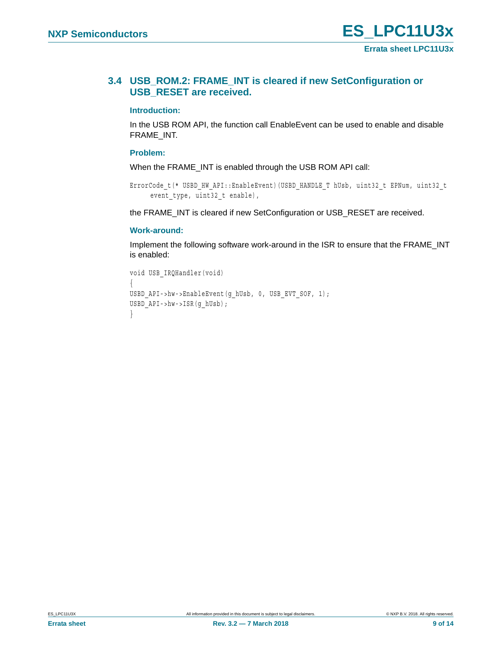### <span id="page-8-0"></span>**3.4 USB\_ROM.2: FRAME\_INT is cleared if new SetConfiguration or USB\_RESET are received.**

#### **Introduction:**

In the USB ROM API, the function call EnableEvent can be used to enable and disable FRAME\_INT.

#### **Problem:**

When the FRAME\_INT is enabled through the USB ROM API call:

```
ErrorCode_t(* USBD_HW_API::EnableEvent)(USBD_HANDLE_T hUsb, uint32_t EPNum, uint32_t 
     event_type, uint32_t enable),
```
the FRAME\_INT is cleared if new SetConfiguration or USB\_RESET are received.

#### **Work-around:**

Implement the following software work-around in the ISR to ensure that the FRAME\_INT is enabled:

```
void USB_IRQHandler(void)
{
USBD_API->hw->EnableEvent(g_hUsb, 0, USB_EVT_SOF, 1);
USBD_API->hw->ISR(g_hUsb);
}
```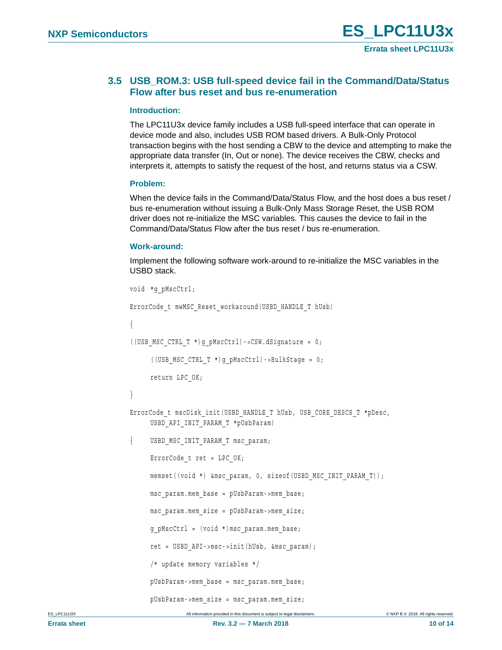### <span id="page-9-0"></span>**3.5 USB\_ROM.3: USB full-speed device fail in the Command/Data/Status Flow after bus reset and bus re-enumeration**

#### **Introduction:**

The LPC11U3x device family includes a USB full-speed interface that can operate in device mode and also, includes USB ROM based drivers. A Bulk-Only Protocol transaction begins with the host sending a CBW to the device and attempting to make the appropriate data transfer (In, Out or none). The device receives the CBW, checks and interprets it, attempts to satisfy the request of the host, and returns status via a CSW.

#### **Problem:**

When the device fails in the Command/Data/Status Flow, and the host does a bus reset / bus re-enumeration without issuing a Bulk-Only Mass Storage Reset, the USB ROM driver does not re-initialize the MSC variables. This causes the device to fail in the Command/Data/Status Flow after the bus reset / bus re-enumeration.

#### **Work-around:**

Implement the following software work-around to re-initialize the MSC variables in the USBD stack.

```
void *g_pMscCtrl;
ErrorCode_t mwMSC_Reset_workaround(USBD_HANDLE_T hUsb)
{
((UBB MSC CTRL T<sup>*</sup>)g pMscCtrl) -&gt;CSW.dSignature = 0;((USB_MSC_CTRL_T *)g_pMscCtrl)->BulkStage = 0;
     return LPC_OK;
}
ErrorCode_t_mscDisk_init(USBD_HANDLE_T_hUsb,_USB_CORE_DESCS_T_*pDesc,
     USBD_API_INIT_PARAM_T *pUsbParam)
{ USBD_MSC_INIT_PARAM_T msc_param;
     ErrorCode t ret = LPC OK;
     memset((void *) &msc_param, 0, sizeof(USBD_MSC_INIT_PARAM_T));
     msc_param.mem_base = pUsbParam->mem_base;
     msc_param.mem_size = pUsbParam->mem_size;
     g_pMscCtrl = (void *)msc_param.mem_base;
     ret = USBD_API->msc->init(hUsb, &msc_param);
     /* update memory variables */
     pUsbParam->mem_base = msc_param.mem_base;
     pUsbParam->mem_size = msc_param.mem_size;
```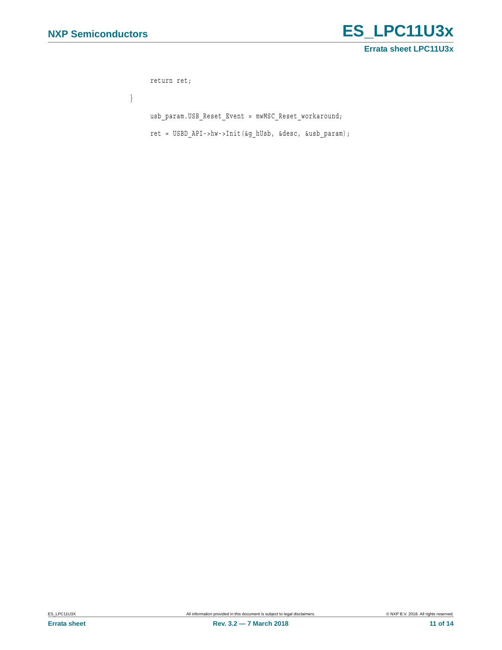

```
return ret;
}
     usb_param.USB_Reset_Event = mwMSC_Reset_workaround;
     ret = USBD_API->hw->Init(&g_hUsb, &desc, &usb_param);
```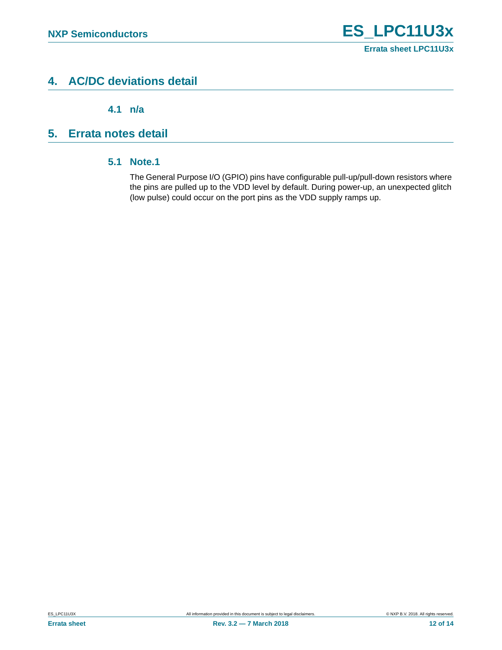# <span id="page-11-1"></span>**4. AC/DC deviations detail**

**4.1 n/a**

# <span id="page-11-3"></span><span id="page-11-2"></span><span id="page-11-0"></span>**5. Errata notes detail**

### **5.1 Note.1**

The General Purpose I/O (GPIO) pins have configurable pull-up/pull-down resistors where the pins are pulled up to the VDD level by default. During power-up, an unexpected glitch (low pulse) could occur on the port pins as the VDD supply ramps up.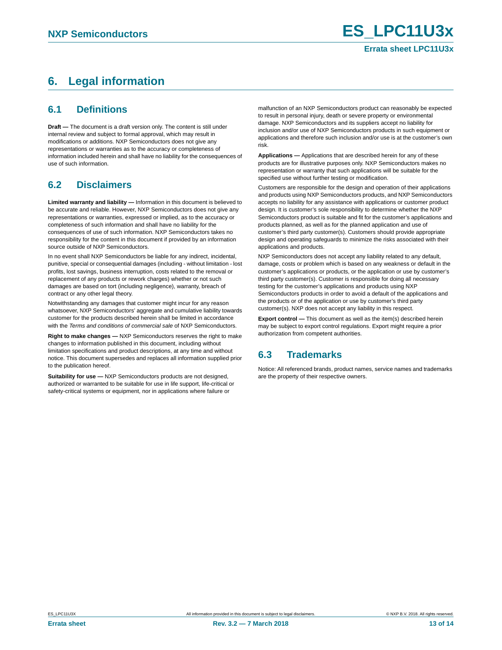# <span id="page-12-0"></span>**6. Legal information**

### <span id="page-12-1"></span>**6.1 Definitions**

**Draft —** The document is a draft version only. The content is still under internal review and subject to formal approval, which may result in modifications or additions. NXP Semiconductors does not give any representations or warranties as to the accuracy or completeness of information included herein and shall have no liability for the consequences of use of such information.

## <span id="page-12-2"></span>**6.2 Disclaimers**

**Limited warranty and liability —** Information in this document is believed to be accurate and reliable. However, NXP Semiconductors does not give any representations or warranties, expressed or implied, as to the accuracy or completeness of such information and shall have no liability for the consequences of use of such information. NXP Semiconductors takes no responsibility for the content in this document if provided by an information source outside of NXP Semiconductors.

In no event shall NXP Semiconductors be liable for any indirect, incidental, punitive, special or consequential damages (including - without limitation - lost profits, lost savings, business interruption, costs related to the removal or replacement of any products or rework charges) whether or not such damages are based on tort (including negligence), warranty, breach of contract or any other legal theory.

Notwithstanding any damages that customer might incur for any reason whatsoever, NXP Semiconductors' aggregate and cumulative liability towards customer for the products described herein shall be limited in accordance with the *Terms and conditions of commercial sale* of NXP Semiconductors.

**Right to make changes —** NXP Semiconductors reserves the right to make changes to information published in this document, including without limitation specifications and product descriptions, at any time and without notice. This document supersedes and replaces all information supplied prior to the publication hereof.

**Suitability for use —** NXP Semiconductors products are not designed, authorized or warranted to be suitable for use in life support, life-critical or safety-critical systems or equipment, nor in applications where failure or

malfunction of an NXP Semiconductors product can reasonably be expected to result in personal injury, death or severe property or environmental damage. NXP Semiconductors and its suppliers accept no liability for inclusion and/or use of NXP Semiconductors products in such equipment or applications and therefore such inclusion and/or use is at the customer's own risk.

**Applications —** Applications that are described herein for any of these products are for illustrative purposes only. NXP Semiconductors makes no representation or warranty that such applications will be suitable for the specified use without further testing or modification.

Customers are responsible for the design and operation of their applications and products using NXP Semiconductors products, and NXP Semiconductors accepts no liability for any assistance with applications or customer product design. It is customer's sole responsibility to determine whether the NXP Semiconductors product is suitable and fit for the customer's applications and products planned, as well as for the planned application and use of customer's third party customer(s). Customers should provide appropriate design and operating safeguards to minimize the risks associated with their applications and products.

NXP Semiconductors does not accept any liability related to any default, damage, costs or problem which is based on any weakness or default in the customer's applications or products, or the application or use by customer's third party customer(s). Customer is responsible for doing all necessary testing for the customer's applications and products using NXP Semiconductors products in order to avoid a default of the applications and the products or of the application or use by customer's third party customer(s). NXP does not accept any liability in this respect.

**Export control —** This document as well as the item(s) described herein may be subject to export control regulations. Export might require a prior authorization from competent authorities.

### <span id="page-12-3"></span>**6.3 Trademarks**

Notice: All referenced brands, product names, service names and trademarks are the property of their respective owners.